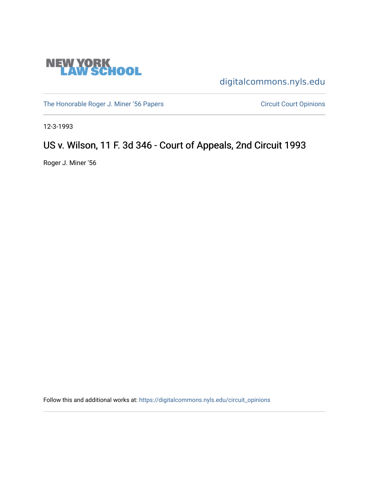

[digitalcommons.nyls.edu](https://digitalcommons.nyls.edu/) 

[The Honorable Roger J. Miner '56 Papers](https://digitalcommons.nyls.edu/miner_papers) Circuit Court Opinions

12-3-1993

# US v. Wilson, 11 F. 3d 346 - Court of Appeals, 2nd Circuit 1993

Roger J. Miner '56

Follow this and additional works at: [https://digitalcommons.nyls.edu/circuit\\_opinions](https://digitalcommons.nyls.edu/circuit_opinions?utm_source=digitalcommons.nyls.edu%2Fcircuit_opinions%2F395&utm_medium=PDF&utm_campaign=PDFCoverPages)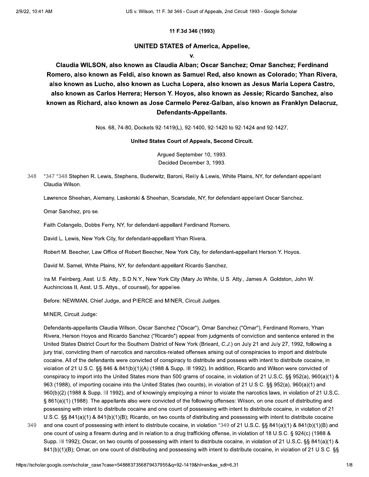#### 11 F.3d 346 (1993)

#### **UNITED STATES of America, Appellee,**

 $\mathbf{V}$ 

Claudia WILSON, also known as Claudia Alban; Oscar Sanchez; Omar Sanchez; Ferdinand Romero, also known as Feldi, also known as Samuel Red, also known as Colorado; Yhan Rivera, also known as Lucho, also known as Lucha Lopera, also known as Jesus Maria Lopera Castro, also known as Carlos Herrera; Herson Y. Hoyos, also known as Jessie; Ricardo Sanchez, also known as Richard, also known as Jose Carmelo Perez-Galban, also known as Franklyn Delacruz, Defendants-Appellants.

Nos. 68, 74-80, Dockets 92-1419(L), 92-1400, 92-1420 to 92-1424 and 92-1427.

#### United States Court of Appeals, Second Circuit.

Argued September 10, 1993. Decided December 3, 1993.

\*347 \*348 Stephen R. Lewis, Stephens, Buderwitz, Baroni, Reilly & Lewis, White Plains, NY, for defendant-appellant 348 Claudia Wilson.

Lawrence Sheehan, Alemany, Laskorski & Sheehan, Scarsdale, NY, for defendant-appellant Oscar Sanchez.

Omar Sanchez, pro se.

Faith Colangelo, Dobbs Ferry, NY, for defendant-appellant Ferdinand Romero.

David L. Lewis, New York City, for defendant-appellant Yhan Rivera.

Robert M. Beecher, Law Office of Robert Beecher, New York City, for defendant-appellant Herson Y. Hoyos.

David M. Samel, White Plains, NY, for defendant-appellant Ricardo Sanchez.

Ira M. Feinberg, Asst. U.S. Atty., S.D.N.Y., New York City (Mary Jo White, U.S. Atty., James A. Goldston, John W. Auchincloss II, Asst. U.S. Attys., of counsel), for appellee.

Before: NEWMAN, Chief Judge, and PIERCE and MINER, Circuit Judges.

MINER, Circuit Judge:

349

Defendants-appellants Claudia Wilson, Oscar Sanchez ("Oscar"), Omar Sanchez ("Omar"), Ferdinand Romero, Yhan Rivera, Herson Hoyos and Ricardo Sanchez ("Ricardo") appeal from judgments of conviction and sentence entered in the United States District Court for the Southern District of New York (Brieant, C.J.) on July 21 and July 27, 1992, following a jury trial, convicting them of narcotics and narcotics-related offenses arising out of conspiracies to import and distribute cocaine. All of the defendants were convicted of conspiracy to distribute and possess with intent to distribute cocaine, in violation of 21 U.S.C. §§ 846 & 841(b)(1)(A) (1988 & Supp. III 1992). In addition, Ricardo and Wilson were convicted of conspiracy to import into the United States more than 500 grams of cocaine, in violation of 21 U.S.C. §§ 952(a), 960(a)(1) & 963 (1988), of importing cocaine into the United States (two counts), in violation of 21 U.S.C. §§ 952(a), 960(a)(1) and 960(b)(2) (1988 & Supp. III 1992), and of knowingly employing a minor to violate the narcotics laws, in violation of 21 U.S.C. § 861(a)(1) (1988). The appellants also were convicted of the following offenses: Wilson, on one count of distributing and possessing with intent to distribute cocaine and one count of possessing with intent to distribute cocaine, in violation of 21 U.S.C. §§ 841(a)(1) & 841(b)(1)(B); Ricardo, on two counts of distributing and possessing with intent to distribute cocaine and one count of possessing with intent to distribute cocaine, in violation \*349 of 21 U.S.C. §§ 841(a)(1) & 841(b)(1)(B) and one count of using a firearm during and in relation to a drug trafficking offense, in violation of 18 U.S.C. § 924(c) (1988 & Supp. III 1992); Oscar, on two counts of possessing with intent to distribute cocaine, in violation of 21 U.S.C. §§ 841(a)(1) & 841(b)(1)(B); Omar, on one count of distributing and possessing with intent to distribute cocaine, in violation of 21 U.S.C. §§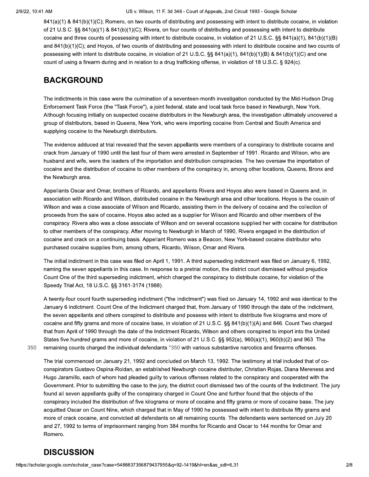841(a)(1) & 841(b)(1)(C); Romero, on two counts of distributing and possessing with intent to distribute cocaine, in violation of 21 U.S.C. §§ 841(a)(1) & 841(b)(1)(C); Rivera, on four counts of distributing and possessing with intent to distribute cocaine and three counts of possessing with intent to distribute cocaine, in violation of 21 U.S.C. §§ 841(a)(1), 841(b)(1)(B) and 841(b)(1)(C); and Hoyos, of two counts of distributing and possessing with intent to distribute cocaine and two counts of possessing with intent to distribute cocaine, in violation of 21 U.S.C. §§ 841(a)(1), 841(b)(1)(B) & 841(b)(1)(C) and one count of using a firearm during and in relation to a drug trafficking offense, in violation of 18 U.S.C. § 924(c).

## **BACKGROUND**

The indictments in this case were the culmination of a seventeen-month investigation conducted by the Mid-Hudson Drug Enforcement Task Force (the "Task Force"), a joint federal, state and local task force based in Newburgh, New York. Although focusing initially on suspected cocaine distributors in the Newburgh area, the investigation ultimately uncovered a group of distributors, based in Queens, New York, who were importing cocaine from Central and South America and supplying cocaine to the Newburgh distributors.

The evidence adduced at trial revealed that the seven appellants were members of a conspiracy to distribute cocaine and crack from January of 1990 until the last four of them were arrested in September of 1991. Ricardo and Wilson, who are husband and wife, were the leaders of the importation and distribution conspiracies. The two oversaw the importation of cocaine and the distribution of cocaine to other members of the conspiracy in, among other locations, Queens, Bronx and the Newburgh area.

Appellants Oscar and Omar, brothers of Ricardo, and appellants Rivera and Hoyos also were based in Queens and, in association with Ricardo and Wilson, distributed cocaine in the Newburgh area and other locations. Hoyos is the cousin of Wilson and was a close associate of Wilson and Ricardo, assisting them in the delivery of cocaine and the collection of proceeds from the sale of cocaine. Hoyos also acted as a supplier for Wilson and Ricardo and other members of the conspiracy. Rivera also was a close associate of Wilson and on several occasions supplied her with cocaine for distribution to other members of the conspiracy. After moving to Newburgh in March of 1990, Rivera engaged in the distribution of cocaine and crack on a continuing basis. Appellant Romero was a Beacon, New York-based cocaine distributor who purchased cocaine supplies from, among others, Ricardo, Wilson, Omar and Rivera.

The initial indictment in this case was filed on April 1, 1991. A third superseding indictment was filed on January 6, 1992, naming the seven appellants in this case. In response to a pretrial motion, the district court dismissed without prejudice Count One of the third superseding indictment, which charged the conspiracy to distribute cocaine, for violation of the Speedy Trial Act, 18 U.S.C. §§ 3161-3174 (1988).

A twenty-four count fourth superseding indictment ("the Indictment") was filed on January 14, 1992 and was identical to the January 6 indictment. Count One of the Indictment charged that, from January of 1990 through the date of the Indictment, the seven appellants and others conspired to distribute and possess with intent to distribute five kilograms and more of cocaine and fifty grams and more of cocaine base, in violation of 21 U.S.C. §§ 841(b)(1)(A) and 846. Count Two charged that from April of 1990 through the date of the Indictment Ricardo, Wilson and others conspired to import into the United States five hundred grams and more of cocaine, in violation of 21 U.S.C. §§ 952(a), 960(a)(1), 960(b)(2) and 963. The

350 remaining counts charged the individual defendants \*350 with various substantive narcotics and firearms offenses.

The trial commenced on January 21, 1992 and concluded on March 13, 1992. The testimony at trial included that of coconspirators Gustavo Ospina-Roldan, an established Newburgh cocaine distributer, Christian Rojas, Diana Mereness and Hugo Jaramillo, each of whom had pleaded guilty to various offenses related to the conspiracy and cooperated with the Government. Prior to submitting the case to the jury, the district court dismissed two of the counts of the Indictment. The jury found all seven appellants guilty of the conspiracy charged in Count One and further found that the objects of the conspiracy included the distribution of five kilograms or more of cocaine and fifty grams or more of cocaine base. The jury acquitted Oscar on Count Nine, which charged that in May of 1990 he possessed with intent to distribute fifty grams and more of crack cocaine, and convicted all defendants on all remaining counts. The defendants were sentenced on July 20 and 27, 1992 to terms of imprisonment ranging from 384 months for Ricardo and Oscar to 144 months for Omar and Romero.

## **DISCUSSION**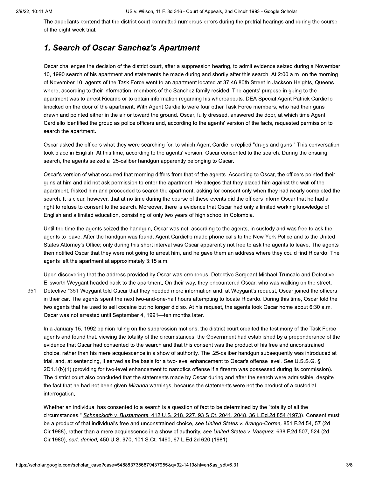The appellants contend that the district court committed numerous errors during the pretrial hearings and during the course of the eight-week trial.

## 1. Search of Oscar Sanchez's Apartment

Oscar challenges the decision of the district court, after a suppression hearing, to admit evidence seized during a November 10, 1990 search of his apartment and statements he made during and shortly after this search. At 2:00 a.m. on the morning of November 10, agents of the Task Force went to an apartment located at 37-46 80th Street in Jackson Heights, Queens where, according to their information, members of the Sanchez family resided. The agents' purpose in going to the apartment was to arrest Ricardo or to obtain information regarding his whereabouts. DEA Special Agent Patrick Cardiello knocked on the door of the apartment. With Agent Cardiello were four other Task Force members, who had their guns drawn and pointed either in the air or toward the ground. Oscar, fully dressed, answered the door, at which time Agent Cardiello identified the group as police officers and, according to the agents' version of the facts, requested permission to search the apartment.

Oscar asked the officers what they were searching for, to which Agent Cardiello replied "drugs and guns." This conversation took place in English. At this time, according to the agents' version, Oscar consented to the search. During the ensuing search, the agents seized a .25-caliber handgun apparently belonging to Oscar.

Oscar's version of what occurred that morning differs from that of the agents. According to Oscar, the officers pointed their guns at him and did not ask permission to enter the apartment. He alleges that they placed him against the wall of the apartment, frisked him and proceeded to search the apartment, asking for consent only when they had nearly completed the search. It is clear, however, that at no time during the course of these events did the officers inform Oscar that he had a right to refuse to consent to the search. Moreover, there is evidence that Oscar had only a limited working knowledge of English and a limited education, consisting of only two years of high school in Colombia.

Until the time the agents seized the handgun, Oscar was not, according to the agents, in custody and was free to ask the agents to leave. After the handgun was found, Agent Cardiello made phone calls to the New York Police and to the United States Attorney's Office; only during this short interval was Oscar apparently not free to ask the agents to leave. The agents then notified Oscar that they were not going to arrest him, and he gave them an address where they could find Ricardo. The agents left the apartment at approximately 3:15 a.m.

Upon discovering that the address provided by Oscar was erroneous, Detective Sergeant Michael Truncale and Detective Ellsworth Weygant headed back to the apartment. On their way, they encountered Oscar, who was walking on the street. 351 Detective \*351 Weygant told Oscar that they needed more information and, at Weygant's request, Oscar joined the officers in their car. The agents spent the next two-and-one-half hours attempting to locate Ricardo. During this time, Oscar told the two agents that he used to sell cocaine but no longer did so. At his request, the agents took Oscar home about 6:30 a.m. Oscar was not arrested until September 4, 1991-ten months later.

In a January 15, 1992 opinion ruling on the suppression motions, the district court credited the testimony of the Task Force agents and found that, viewing the totality of the circumstances, the Government had established by a preponderance of the evidence that Oscar had consented to the search and that this consent was the product of his free and unconstrained choice, rather than his mere acquiescence in a show of authority. The .25-caliber handgun subsequently was introduced at trial, and, at sentencing, it served as the basis for a two-level enhancement to Oscar's offense level. See U.S.S.G. § 2D1.1(b)(1) (providing for two-level enhancement to narcotics offense if a firearm was possessed during its commission). The district court also concluded that the statements made by Oscar during and after the search were admissible, despite the fact that he had not been given Miranda warnings, because the statements were not the product of a custodial interrogation.

Whether an individual has consented to a search is a question of fact to be determined by the "totality of all the circumstances." Schneckloth v. Bustamonte, 412 U.S. 218, 227, 93 S.Ct. 2041, 2048, 36 L.Ed.2d 854 (1973). Consent must be a product of that individual's free and unconstrained choice, see *United States v. Arango-Correa*, 851 F.2d 54, 57 (2d Cir.1988), rather than a mere acquiescence in a show of authority, see United States v. Vasquez, 638 F.2d 507, 524 (2d) Cir.1980), cert. denied, 450 U.S. 970, 101 S.Ct. 1490, 67 L.Ed.2d 620 (1981).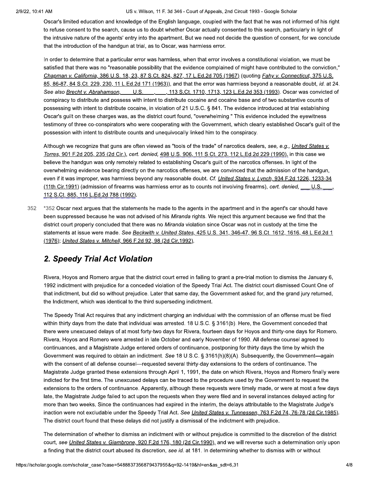Oscar's limited education and knowledge of the English language, coupled with the fact that he was not informed of his right to refuse consent to the search, cause us to doubt whether Oscar actually consented to this search, particularly in light of the intrusive nature of the agents' entry into the apartment. But we need not decide the question of consent, for we conclude that the introduction of the handgun at trial, as to Oscar, was harmless error.

In order to determine that a particular error was harmless, when that error involves a constitutional violation, we must be satisfied that there was no "reasonable possibility that the evidence complained of might have contributed to the conviction," Chapman v. California, 386 U.S. 18, 23, 87 S.Ct. 824, 827, 17 L.Ed.2d 705 (1967) (quoting *Fahy v. Connecticut*, 375 U.S. 85, 86-87, 84 S.Ct. 229, 230, 11 L.Ed.2d 171 (1963)), and that the error was harmless beyond a reasonable doubt, id. at 24. See also Brecht v. Abrahamson, U.S., 113 S.Ct. 1710, 1713, 123 L.Ed.2d 353 (1993). Oscar was convicted of conspiracy to distribute and possess with intent to distribute cocaine and cocaine base and of two substantive counts of possessing with intent to distribute cocaine, in violation of 21 U.S.C. § 841. The evidence introduced at trial establishing Oscar's guilt on these charges was, as the district court found, "overwhelming." This evidence included the eyewitness testimony of three co-conspirators who were cooperating with the Government, which clearly established Oscar's quilt of the possession with intent to distribute counts and unequivocally linked him to the conspiracy.

Although we recognize that guns are often viewed as "tools of the trade" of narcotics dealers, see, e.g., United States v. Torres, 901 F.2d 205, 235 (2d Cir.), cert. denied, 498 U.S. 906, 111 S.Ct. 273, 112 L.Ed.2d 229 (1990), in this case we believe the handgun was only remotely related to establishing Oscar's guilt of the narcotics offenses. In light of the overwhelming evidence bearing directly on the narcotics offenses, we are convinced that the admission of the handgun, even if it was improper, was harmless beyond any reasonable doubt. Cf. United States v. Lynch, 934 F.2d 1226, 1233-34 (11th Cir.1991) (admission of firearms was harmless error as to counts not involving firearms), cert. denied, U.S. 112 S.Ct. 885, 116 L.Ed.2d 788 (1992).

352 \*352 Oscar next argues that the statements he made to the agents in the apartment and in the agent's car should have been suppressed because he was not advised of his Miranda rights. We reject this argument because we find that the district court properly concluded that there was no Miranda violation since Oscar was not in custody at the time the statements at issue were made. See Beckwith v. United States, 425 U.S. 341, 346-47, 96 S.Ct. 1612, 1616, 48 L.Ed.2d 1 (1976); United States v. Mitchell, 966 F.2d 92, 98 (2d Cir.1992).

## 2. Speedy Trial Act Violation

Rivera, Hoyos and Romero argue that the district court erred in failing to grant a pre-trial motion to dismiss the January 6, 1992 indictment with prejudice for a conceded violation of the Speedy Trial Act. The district court dismissed Count One of that indictment, but did so without prejudice. Later that same day, the Government asked for, and the grand jury returned, the Indictment, which was identical to the third superseding indictment.

The Speedy Trial Act requires that any indictment charging an individual with the commission of an offense must be filed within thirty days from the date that individual was arrested. 18 U.S.C. § 3161(b). Here, the Government conceded that there were unexcused delays of at most forty-two days for Rivera, fourteen days for Hoyos and thirty-one days for Romero. Rivera, Hoyos and Romero were arrested in late October and early November of 1990. All defense counsel agreed to continuances, and a Magistrate Judge entered orders of continuance, postponing for thirty days the time by which the Government was required to obtain an indictment. See 18 U.S.C. § 3161(h)(8)(A). Subsequently, the Government—again with the consent of all defense counsel—requested several thirty-day extensions to the orders of continuance. The Magistrate Judge granted these extensions through April 1, 1991, the date on which Rivera, Hoyos and Romero finally were indicted for the first time. The unexcused delays can be traced to the procedure used by the Government to request the extensions to the orders of continuance. Apparently, although these requests were timely made, or were at most a few days late, the Magistrate Judge failed to act upon the reguests when they were filed and in several instances delayed acting for more than two weeks. Since the continuances had expired in the interim, the delays attributable to the Magistrate Judge's inaction were not excludable under the Speedy Trial Act. See United States v. Tunnessen, 763 F.2d 74, 76-78 (2d Cir.1985). The district court found that these delays did not justify a dismissal of the indictment with prejudice.

The determination of whether to dismiss an indictment with or without prejudice is committed to the discretion of the district court, see United States v. Giambrone, 920 F.2d 176, 180 (2d Cir.1990), and we will reverse such a determination only upon a finding that the district court abused its discretion, see id. at 181. In determining whether to dismiss with or without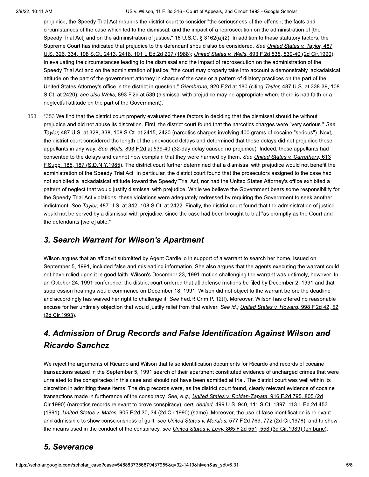prejudice, the Speedy Trial Act requires the district court to consider "the seriousness of the offense; the facts and circumstances of the case which led to the dismissal; and the impact of a reprosecution on the administration of [the Speedy Trial Act] and on the administration of justice." 18 U.S.C. § 3162(a)(2). In addition to these statutory factors, the Supreme Court has indicated that prejudice to the defendant should also be considered. See United States v. Taylor, 487 U.S. 326, 334, 108 S.Ct. 2413, 2418, 101 L.Ed.2d 297 (1988); United States v. Wells, 893 F.2d 535, 539-40 (2d Cir.1990). In evaluating the circumstances leading to the dismissal and the impact of reprosecution on the administration of the Speedy Trial Act and on the administration of justice, "the court may properly take into account a demonstrably lackadaisical attitude on the part of the government attorney in charge of the case or a pattern of dilatory practices on the part of the United States Attorney's office in the district in question." Giambrone, 920 F.2d at 180 (citing Taylor, 487 U.S. at 338-39, 108 S.Ct. at 2420); see also Wells, 893 F.2d at 539 (dismissal with prejudice may be appropriate where there is bad faith or a neglectful attitude on the part of the Government).

353 \*353 We find that the district court properly evaluated these factors in deciding that the dismissal should be without prejudice and did not abuse its discretion. First, the district court found that the narcotics charges were "very serious." See Taylor, 487 U.S. at 328, 338, 108 S.Ct. at 2415, 2420 (narcotics charges involving 400 grams of cocaine "serious"). Next, the district court considered the length of the unexcused delays and determined that these delays did not prejudice these appellants in any way. See Wells, 893 F.2d at 539-40 (32-day delay caused no prejudice). Indeed, these appellants had consented to the delays and cannot now complain that they were harmed by them. See United States v. Carrethers, 613 F.Supp. 185, 187 (S.D.N.Y.1985). The district court further determined that a dismissal with prejudice would not benefit the administration of the Speedy Trial Act. In particular, the district court found that the prosecutors assigned to the case had not exhibited a lackadaisical attitude toward the Speedy Trial Act, nor had the United States Attorney's office exhibited a pattern of neglect that would justify dismissal with prejudice. While we believe the Government bears some responsibility for the Speedy Trial Act violations, these violations were adequately redressed by requiring the Government to seek another indictment. See Taylor, 487 U.S. at 342, 108 S.Ct. at 2422. Finally, the district court found that the administration of justice would not be served by a dismissal with prejudice, since the case had been brought to trial "as promptly as the Court and the defendants [were] able."

## 3. Search Warrant for Wilson's Apartment

Wilson argues that an affidavit submitted by Agent Cardiello in support of a warrant to search her home, issued on September 5, 1991, included false and misleading information. She also argues that the agents executing the warrant could not have relied upon it in good faith. Wilson's December 23, 1991 motion challenging the warrant was untimely, however. In an October 24, 1991 conference, the district court ordered that all defense motions be filed by December 2, 1991 and that suppression hearings would commence on December 18, 1991. Wilson did not object to the warrant before the deadline and accordingly has waived her right to challenge it. See Fed.R.Crim.P. 12(f). Moreover, Wilson has offered no reasonable excuse for her untimely objection that would justify relief from that waiver. See id.; United States v. Howard, 998 F.2d 42, 52 (2d Cir. 1993).

## 4. Admission of Drug Records and False Identification Against Wilson and **Ricardo Sanchez**

We reject the arguments of Ricardo and Wilson that false identification documents for Ricardo and records of cocaine transactions seized in the September 5, 1991 search of their apartment constituted evidence of uncharged crimes that were unrelated to the conspiracies in this case and should not have been admitted at trial. The district court was well within its discretion in admitting these items. The drug records were, as the district court found, clearly relevant evidence of cocaine transactions made in furtherance of the conspiracy. See, e.g., United States v. Roldan-Zapata, 916 F.2d 795, 805 (2d Cir.1990) (narcotics records relevant to prove conspiracy), cert. denied, 499 U.S. 940, 111 S.Ct. 1397, 113 L.Ed.2d 453 (1991); United States v. Matos, 905 F.2d 30, 34 (2d Cir.1990) (same). Moreover, the use of false identification is relevant and admissible to show consciousness of guilt, see United States v. Morales, 577 F.2d 769, 772 (2d Cir.1978), and to show the means used in the conduct of the conspiracy, see *United States v. Levy*, 865 F.2d 551, 558 (3d Cir.1989) (en banc).

## 5. Severance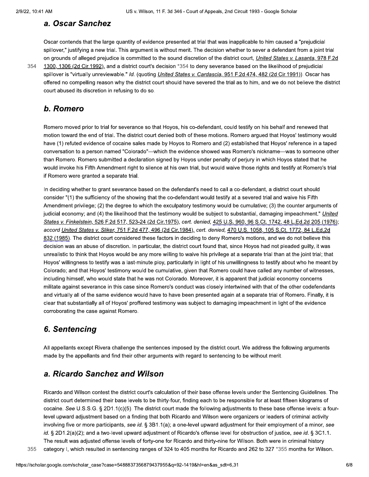#### a. Oscar Sanchez

Oscar contends that the large quantity of evidence presented at trial that was inapplicable to him caused a "prejudicial spillover," justifying a new trial. This argument is without merit. The decision whether to sever a defendant from a joint trial on grounds of alleged prejudice is committed to the sound discretion of the district court, *United States v. Lasanta*, 978 F.2d

1300, 1306 (2d Cir.1992), and a district court's decision \*354 to deny severance based on the likelihood of prejudicial spillover is "virtually unreviewable." Id. (quoting *United States v. Cardascia, 951 F.2d 474, 482 (2d Cir.1991)*). Oscar has offered no compelling reason why the district court should have severed the trial as to him, and we do not believe the district court abused its discretion in refusing to do so.

#### b. Romero

Romero moved prior to trial for severance so that Hoyos, his co-defendant, could testify on his behalf and renewed that motion toward the end of trial. The district court denied both of these motions. Romero argued that Hoyos' testimony would have (1) refuted evidence of cocaine sales made by Hoyos to Romero and (2) established that Hoyos' reference in a taped conversation to a person named "Colorado"—which the evidence showed was Romero's nickname—was to someone other than Romero. Romero submitted a declaration signed by Hoyos under penalty of perjury in which Hoyos stated that he would invoke his Fifth Amendment right to silence at his own trial, but would waive those rights and testify at Romero's trial if Romero were granted a separate trial.

In deciding whether to grant severance based on the defendant's need to call a co-defendant, a district court should consider "(1) the sufficiency of the showing that the co-defendant would testify at a severed trial and waive his Fifth Amendment privilege; (2) the degree to which the exculpatory testimony would be cumulative; (3) the counter arguments of judicial economy; and (4) the likelihood that the testimony would be subject to substantial, damaging impeachment." United States v. Finkelstein, 526 F.2d 517, 523-24 (2d Cir.1975), cert. denied, 425 U.S. 960, 96 S.Ct. 1742, 48 L.Ed.2d 205 (1976); accord United States v. Sliker, 751 F.2d 477, 496 (2d Cir.1984), cert. denied, 470 U.S. 1058, 105 S.Ct. 1772, 84 L.Ed.2d 832 (1985). The district court considered these factors in deciding to deny Romero's motions, and we do not believe this decision was an abuse of discretion. In particular, the district court found that, since Hoyos had not pleaded guilty, it was unrealistic to think that Hoyos would be any more willing to waive his privilege at a separate trial than at the joint trial; that Hoyos' willingness to testify was a last-minute ploy, particularly in light of his unwillingness to testify about who he meant by Colorado; and that Hoyos' testimony would be cumulative, given that Romero could have called any number of witnesses, including himself, who would state that he was not Colorado. Moreover, it is apparent that judicial economy concerns militate against severance in this case since Romero's conduct was closely intertwined with that of the other codefendants and virtually all of the same evidence would have to have been presented again at a separate trial of Romero. Finally, it is clear that substantially all of Hoyos' proffered testimony was subject to damaging impeachment in light of the evidence corroborating the case against Romero.

### 6. Sentencing

All appellants except Rivera challenge the sentences imposed by the district court. We address the following arguments made by the appellants and find their other arguments with regard to sentencing to be without merit.

#### a. Ricardo Sanchez and Wilson

Ricardo and Wilson contest the district court's calculation of their base offense levels under the Sentencing Guidelines. The district court determined their base levels to be thirty-four, finding each to be responsible for at least fifteen kilograms of cocaine. See U.S.S.G. § 2D1.1(c)(5). The district court made the following adjustments to these base offense levels: a fourlevel upward adjustment based on a finding that both Ricardo and Wilson were organizers or leaders of criminal activity involving five or more participants, see id. § 3B1.1(a); a one-level upward adjustment for their employment of a minor, see id. § 2D1.2(a)(2); and a two-level upward adjustment of Ricardo's offense level for obstruction of justice, see id. § 3C1.1. The result was adjusted offense levels of forty-one for Ricardo and thirty-nine for Wilson. Both were in criminal history

category I, which resulted in sentencing ranges of 324 to 405 months for Ricardo and 262 to 327 \*355 months for Wilson. 355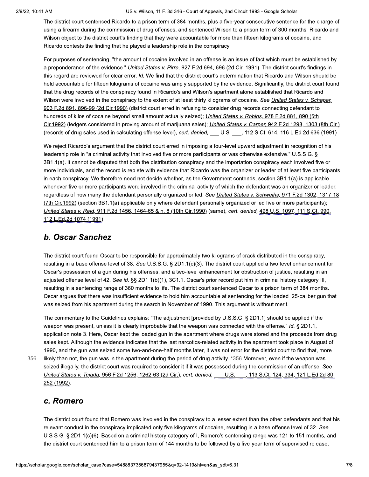The district court sentenced Ricardo to a prison term of 384 months, plus a five-year consecutive sentence for the charge of using a firearm during the commission of drug offenses, and sentenced Wilson to a prison term of 300 months. Ricardo and Wilson object to the district court's finding that they were accountable for more than fifteen kilograms of cocaine, and Ricardo contests the finding that he played a leadership role in the conspiracy.

For purposes of sentencing, "the amount of cocaine involved in an offense is an issue of fact which must be established by a preponderance of the evidence." United States v. Pirre, 927 F.2d 694, 696 (2d Cir. 1991). The district court's findings in this regard are reviewed for clear error. Id. We find that the district court's determination that Ricardo and Wilson should be held accountable for fifteen kilograms of cocaine was amply supported by the evidence. Significantly, the district court found that the drug records of the conspiracy found in Ricardo's and Wilson's apartment alone established that Ricardo and Wilson were involved in the conspiracy to the extent of at least thirty kilograms of cocaine. See United States v. Schaper, 903 F.2d 891, 896-99 (2d Cir.1990) (district court erred in refusing to consider drug records connecting defendant to hundreds of kilos of cocaine beyond small amount actually seized); *United States v. Robins*, 978 F.2d 881, 890 (5th Cir.1992) (ledgers considered in proving amount of marijuana sales); *United States v. Carper*, 942 F.2d 1298, 1303 (8th Cir.) (records of drug sales used in calculating offense level), cert. denied, U.S., 112 S.Ct. 614, 116 L.Ed.2d 636 (1991).

We reject Ricardo's argument that the district court erred in imposing a four-level upward adjustment in recognition of his leadership role in "a criminal activity that involved five or more participants or was otherwise extensive." U.S.S.G. § 3B1.1(a). It cannot be disputed that both the distribution conspiracy and the importation conspiracy each involved five or more individuals, and the record is replete with evidence that Ricardo was the organizer or leader of at least five participants in each conspiracy. We therefore need not decide whether, as the Government contends, section 3B1.1(a) is applicable whenever five or more participants were involved in the criminal activity of which the defendant was an organizer or leader, regardless of how many the defendant personally organized or led. See United States v. Schweihs, 971 F.2d 1302, 1317-18 (7th Cir.1992) (section 3B1.1(a) applicable only where defendant personally organized or led five or more participants); United States v. Reid, 911 F.2d 1456, 1464-65 & n. 8 (10th Cir.1990) (same), cert. denied, 498 U.S. 1097, 111 S.Ct. 990, 112 L.Ed.2d 1074 (1991).

### **b. Oscar Sanchez**

The district court found Oscar to be responsible for approximately two kilograms of crack distributed in the conspiracy, resulting in a base offense level of 38. See U.S.S.G. § 2D1.1(c)(3). The district court applied a two-level enhancement for Oscar's possession of a gun during his offenses, and a two-level enhancement for obstruction of justice, resulting in an adjusted offense level of 42. See id. §§ 2D1.1(b)(1), 3C1.1. Oscar's prior record put him in criminal history category III, resulting in a sentencing range of 360 months to life. The district court sentenced Oscar to a prison term of 384 months. Oscar arques that there was insufficient evidence to hold him accountable at sentencing for the loaded .25-caliber qun that was seized from his apartment during the search in November of 1990. This argument is without merit.

The commentary to the Guidelines explains: "The adjustment [provided by U.S.S.G. § 2D1.1] should be applied if the weapon was present, unless it is clearly improbable that the weapon was connected with the offense." Id. § 2D1.1. application note 3. Here, Oscar kept the loaded gun in the apartment where drugs were stored and the proceeds from drug sales kept. Although the evidence indicates that the last narcotics-related activity in the apartment took place in August of 1990, and the gun was seized some two-and-one-half months later, it was not error for the district court to find that, more likely than not, the gun was in the apartment during the period of drug activity. \*356 Moreover, even if the weapon was seized illegally, the district court was required to consider it if it was possessed during the commission of an offense. See United States v. Tejada, 956 F.2d 1256, 1262-63 (2d Cir.), cert. denied, U.S. 13. S.Ct. 124, 334, 121 L.Ed.2d 80, 252 (1992).

### c. Romero

356

The district court found that Romero was involved in the conspiracy to a lesser extent than the other defendants and that his relevant conduct in the conspiracy implicated only five kilograms of cocaine, resulting in a base offense level of 32. See U.S.S.G. § 2D1.1(c)(6). Based on a criminal history category of I, Romero's sentencing range was 121 to 151 months, and the district court sentenced him to a prison term of 144 months to be followed by a five-year term of supervised release.